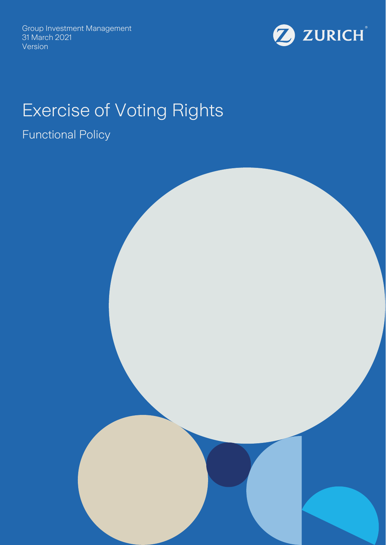Group Investment Management 31 March 2021 Version



# Exercise of Voting Rights

## Functional Policy

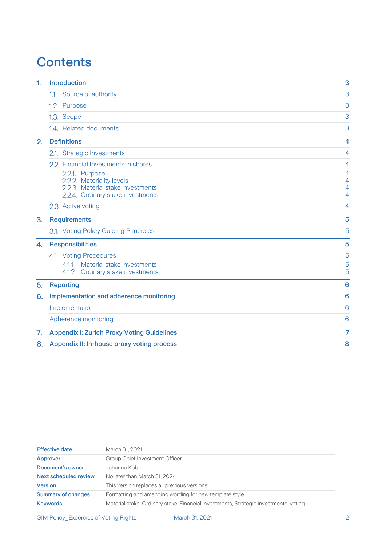## **Contents**

| 1. | 3<br><b>Introduction</b>                                               |                |
|----|------------------------------------------------------------------------|----------------|
|    | 1.1. Source of authority                                               | 3              |
|    | 1.2. Purpose                                                           | 3              |
|    | 1.3. Scope                                                             | 3              |
|    | 1.4. Related documents                                                 | 3              |
| 2. | <b>Definitions</b>                                                     | 4              |
|    | 2.1. Strategic Investments                                             | $\overline{4}$ |
|    | 2.2. Financial Investments in shares                                   | $\overline{4}$ |
|    | 2.2.1. Purpose                                                         | 4              |
|    | 2.2.2. Materiality levels                                              | 4              |
|    | 2.2.3. Material stake investments<br>2.2.4. Ordinary stake investments | 4<br>4         |
|    | 2.3. Active voting                                                     | 4              |
| 3. | <b>Requirements</b>                                                    | 5              |
|    | 3.1. Voting Policy Guiding Principles                                  | 5              |
| 4. | <b>Responsibilities</b>                                                | 5              |
|    | 4.1. Voting Procedures                                                 | 5              |
|    | 4.1.1. Material stake investments                                      | 5              |
|    | 4.1.2. Ordinary stake investments                                      | 5              |
| 5. | <b>Reporting</b>                                                       | 6              |
| 6. | Implementation and adherence monitoring                                | 6              |
|    | Implementation                                                         | 6              |
|    | Adherence monitoring                                                   | 6              |
| 7. | <b>Appendix I: Zurich Proxy Voting Guidelines</b>                      | 7              |
| 8. | Appendix II: In-house proxy voting process                             | 8              |

| <b>Effective date</b>     | March 31, 2021                                                                       |
|---------------------------|--------------------------------------------------------------------------------------|
| Approver                  | Group Chief Investment Officer                                                       |
| Document's owner          | Johanna Köb                                                                          |
| Next scheduled review     | No later than March 31, 2024                                                         |
| <b>Version</b>            | This version replaces all previous versions                                          |
| <b>Summary of changes</b> | Formatting and amending wording for new template style                               |
| <b>Keywords</b>           | Material stake, Ordinary stake, Financial investments, Strategic investments, voting |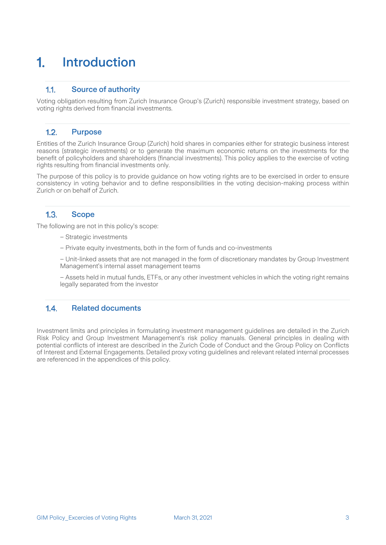## <span id="page-2-0"></span>Introduction 1.

### <span id="page-2-1"></span> $1.1.$ Source of authority

Voting obligation resulting from Zurich Insurance Group's (Zurich) responsible investment strategy, based on voting rights derived from financial investments.

#### <span id="page-2-2"></span> $1.2.$ Purpose

Entities of the Zurich Insurance Group (Zurich) hold shares in companies either for strategic business interest reasons (strategic investments) or to generate the maximum economic returns on the investments for the benefit of policyholders and shareholders (financial investments). This policy applies to the exercise of voting rights resulting from financial investments only.

The purpose of this policy is to provide guidance on how voting rights are to be exercised in order to ensure consistency in voting behavior and to define responsibilities in the voting decision-making process within Zurich or on behalf of Zurich.

#### <span id="page-2-3"></span> $1.3<sub>1</sub>$ **Scope**

The following are not in this policy's scope:

– Strategic investments

– Private equity investments, both in the form of funds and co-investments

– Unit-linked assets that are not managed in the form of discretionary mandates by Group Investment Management's internal asset management teams

– Assets held in mutual funds, ETFs, or any other investment vehicles in which the voting right remains legally separated from the investor

## <span id="page-2-4"></span> $1.4.$ Related documents

Investment limits and principles in formulating investment management guidelines are detailed in the Zurich Risk Policy and Group Investment Management's risk policy manuals. General principles in dealing with potential conflicts of interest are described in the Zurich Code of Conduct and the Group Policy on Conflicts of Interest and External Engagements. Detailed proxy voting guidelines and relevant related internal processes are referenced in the appendices of this policy.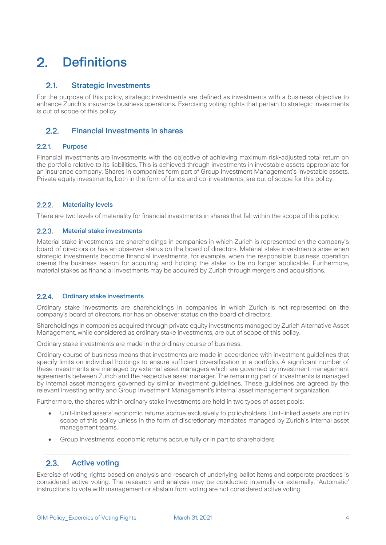## <span id="page-3-0"></span> $2<sup>1</sup>$ **Definitions**

#### <span id="page-3-1"></span> $2.1$ Strategic Investments

For the purpose of this policy, strategic investments are defined as investments with a business objective to enhance Zurich's insurance business operations. Exercising voting rights that pertain to strategic investments is out of scope of this policy.

#### <span id="page-3-2"></span> $2.2<sub>1</sub>$ Financial Investments in shares

#### <span id="page-3-3"></span> $2.2.1$ Purpose

Financial investments are investments with the objective of achieving maximum risk-adjusted total return on the portfolio relative to its liabilities. This is achieved through investments in investable assets appropriate for an insurance company. Shares in companies form part of Group Investment Management's investable assets. Private equity investments, both in the form of funds and co-investments, are out of scope for this policy.

#### <span id="page-3-4"></span> $2.2.2.$ Materiality levels

There are two levels of materiality for financial investments in shares that fall within the scope of this policy.

#### <span id="page-3-5"></span> $2.2.3.$ Material stake investments

Material stake investments are shareholdings in companies in which Zurich is represented on the company's board of directors or has an observer status on the board of directors. Material stake investments arise when strategic investments become financial investments, for example, when the responsible business operation deems the business reason for acquiring and holding the stake to be no longer applicable. Furthermore, material stakes as financial investments may be acquired by Zurich through mergers and acquisitions.

#### <span id="page-3-6"></span> $224$ Ordinary stake investments

Ordinary stake investments are shareholdings in companies in which Zurich is not represented on the company's board of directors, nor has an observer status on the board of directors.

Shareholdings in companies acquired through private equity investments managed by Zurich Alternative Asset Management, while considered as ordinary stake investments, are out of scope of this policy.

Ordinary stake investments are made in the ordinary course of business.

Ordinary course of business means that investments are made in accordance with investment guidelines that specify limits on individual holdings to ensure sufficient diversification in a portfolio. A significant number of these investments are managed by external asset managers which are governed by investment management agreements between Zurich and the respective asset manager. The remaining part of investments is managed by internal asset managers governed by similar investment guidelines. These guidelines are agreed by the relevant investing entity and Group Investment Management's internal asset management organization.

Furthermore, the shares within ordinary stake investments are held in two types of asset pools:

- Unit-linked assets' economic returns accrue exclusively to policyholders. Unit-linked assets are not in scope of this policy unless in the form of discretionary mandates managed by Zurich's internal asset management teams.
- Group investments' economic returns accrue fully or in part to shareholders.

#### <span id="page-3-7"></span> $2.3.$ Active voting

Exercise of voting rights based on analysis and research of underlying ballot items and corporate practices is considered active voting. The research and analysis may be conducted internally or externally. 'Automatic' instructions to vote with management or abstain from voting are not considered active voting.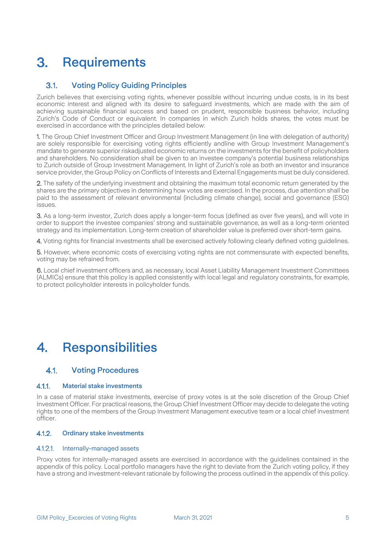## <span id="page-4-0"></span>**Requirements**  $3<sub>1</sub>$

### <span id="page-4-1"></span> $3.1.$ Voting Policy Guiding Principles

Zurich believes that exercising voting rights, whenever possible without incurring undue costs, is in its best economic interest and aligned with its desire to safeguard investments, which are made with the aim of achieving sustainable financial success and based on prudent, responsible business behavior, including Zurich's Code of Conduct or equivalent. In companies in which Zurich holds shares, the votes must be exercised in accordance with the principles detailed below:

1. The Group Chief Investment Officer and Group Investment Management (in line with delegation of authority) are solely responsible for exercising voting rights efficiently andline with Group Investment Management's mandate to generate superior riskadjusted economic returns on the investments for the benefit of policyholders and shareholders. No consideration shall be given to an investee company's potential business relationships to Zurich outside of Group Investment Management. In light of Zurich's role as both an investor and insurance service provider, the Group Policy on Conflicts of Interests and External Engagements must be duly considered.

2. The safety of the underlying investment and obtaining the maximum total economic return generated by the shares are the primary objectives in determining how votes are exercised. In the process, due attention shall be paid to the assessment of relevant environmental (including climate change), social and governance (ESG) issues.

3. As a long-term investor, Zurich does apply a longer-term focus (defined as over five years), and will vote in order to support the investee companies' strong and sustainable governance, as well as a long-term oriented strategy and its implementation. Long-term creation of shareholder value is preferred over short-term gains.

4. Voting rights for financial investments shall be exercised actively following clearly defined voting guidelines.

5. However, where economic costs of exercising voting rights are not commensurate with expected benefits, voting may be refrained from.

6. Local chief investment officers and, as necessary, local Asset Liability Management Investment Committees (ALMICs) ensure that this policy is applied consistently with local legal and regulatory constraints, for example, to protect policyholder interests in policyholder funds.

## <span id="page-4-2"></span>**Responsibilities** 4.

### <span id="page-4-3"></span> $4.1.$ Voting Procedures

#### <span id="page-4-4"></span> $4.1.1.$ Material stake investments

In a case of material stake investments, exercise of proxy votes is at the sole discretion of the Group Chief Investment Officer. For practical reasons, the Group Chief Investment Officer may decide to delegate the voting rights to one of the members of the Group Investment Management executive team or a local chief investment officer.

#### <span id="page-4-5"></span> $4.1.2.$ Ordinary stake investments

## 4.1.2.1. Internally-managed assets

Proxy votes for internally-managed assets are exercised in accordance with the guidelines contained in the appendix of this policy. Local portfolio managers have the right to deviate from the Zurich voting policy, if they have a strong and investment-relevant rationale by following the process outlined in the appendix of this policy.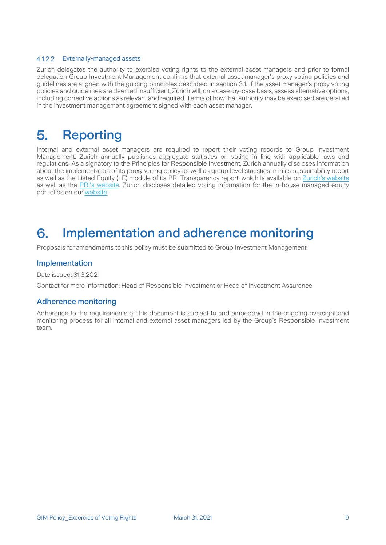## 4.1.2.2. Externally-managed assets

Zurich delegates the authority to exercise voting rights to the external asset managers and prior to formal delegation Group Investment Management confirms that external asset manager's proxy voting policies and guidelines are aligned with the guiding principles described in section 3.1. If the asset manager's proxy voting policies and guidelines are deemed insufficient, Zurich will, on a case-by-case basis, assess alternative options, including corrective actions as relevant and required. Terms of how that authority may be exercised are detailed in the investment management agreement signed with each asset manager.

## <span id="page-5-0"></span>5. Reporting

Internal and external asset managers are required to report their voting records to Group Investment Management. Zurich annually publishes aggregate statistics on voting in line with applicable laws and regulations. As a signatory to the Principles for Responsible Investment, Zurich annually discloses information about the implementation of its proxy voting policy as well as group level statistics in in its sustainability report as well as the Listed Equity (LE) module of its PRI Transparency report, which is available on [Zurich's website](https://www.zurich.com/en/sustainability/responsible-investment) as well as the [PRI's website.](https://dataportal.unpri.org/login) Zurich discloses detailed voting information for the in-house managed equity portfolios on our [website.](https://www.zurich.com/sustainability/responsible-investment/esg-integration)

## <span id="page-5-1"></span>Implementation and adherence monitoring 6.

Proposals for amendments to this policy must be submitted to Group Investment Management.

## <span id="page-5-2"></span>Implementation

Date issued: 31.3.2021

Contact for more information: Head of Responsible Investment or Head of Investment Assurance

## <span id="page-5-3"></span>Adherence monitoring

Adherence to the requirements of this document is subject to and embedded in the ongoing oversight and monitoring process for all internal and external asset managers led by the Group's Responsible Investment team.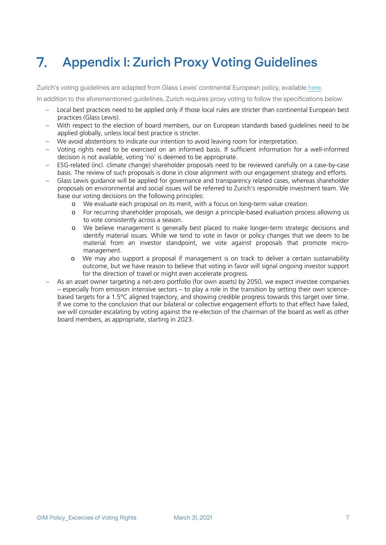## <span id="page-6-0"></span>Appendix I: Zurich Proxy Voting Guidelines  $\mathbf{7}$

Zurich's voting guidelines are adapted from Glass Lewis' continental European policy, availabl[e here.](http://www.glasslewis.com/guidelines/)

In addition to the aforementioned guidelines, Zurich requires proxy voting to follow the specifications below:

- Local best practices need to be applied only if those local rules are stricter than continental European best practices (Glass Lewis).
- With respect to the election of board members, our on European standards based guidelines need to be applied globally, unless local best practice is stricter.
- We avoid abstentions to indicate our intention to avoid leaving room for interpretation.
- Voting rights need to be exercised on an informed basis. If sufficient information for a well-informed decision is not available, voting 'no' is deemed to be appropriate.
- ESG-related (incl. climate change) shareholder proposals need to be reviewed carefully on a case-by-case basis. The review of such proposals is done in close alignment with our engagement strategy and efforts.
- Glass Lewis guidance will be applied for governance and transparency related cases, whereas shareholder proposals on environmental and social issues will be referred to Zurich's responsible investment team. We base our voting decisions on the following principles:
	- o We evaluate each proposal on its merit, with a focus on long-term value creation.
	- o For recurring shareholder proposals, we design a principle-based evaluation process allowing us to vote consistently across a season.
	- o We believe management is generally best placed to make longer-term strategic decisions and identify material issues. While we tend to vote in favor or policy changes that we deem to be material from an investor standpoint, we vote against proposals that promote micromanagement.
	- o We may also support a proposal if management is on track to deliver a certain sustainability outcome, but we have reason to believe that voting in favor will signal ongoing investor support for the direction of travel or might even accelerate progress.
- As an asset owner targeting a net-zero portfolio (for own assets) by 2050, we expect investee companies – especially from emission intensive sectors – to play a role in the transition by setting their own sciencebased targets for a 1.5°C aligned trajectory, and showing credible progress towards this target over time. If we come to the conclusion that our bilateral or collective engagement efforts to that effect have failed, we will consider escalating by voting against the re-election of the chairman of the board as well as other board members, as appropriate, starting in 2023.